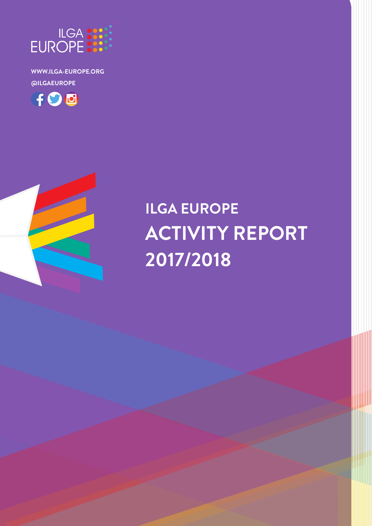

# **ILGA EUROPE ACTIVITY REPORT 2017/2018**



FOO

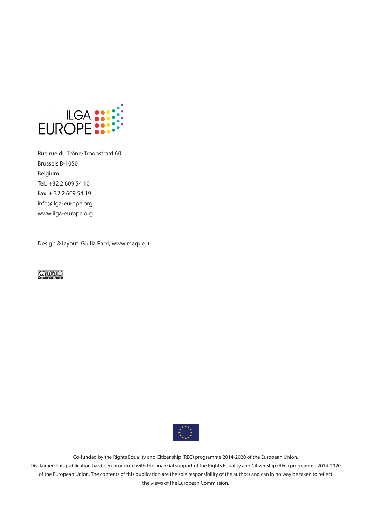

Rue rue du Trône/Troonstraat 60 Brussels B-1050 Belgium Tel.: +32 2 609 54 10 Fax: + 32 2 609 54 19 info@ilga-europe.org www.ilga-europe.org

Design & layout: Giulia Parri, www.maque.it





Co-funded by the Rights Equality and Citizenship (REC) programme 2014-2020 of the European Union.

Disclaimer: This publication has been produced with the financial support of the Rights Equality and Citizenship (REC) programme 2014-2020 of the European Union. The contents of this publication are the sole responsibility of the authors and can in no way be taken to reflect the views of the European Commission.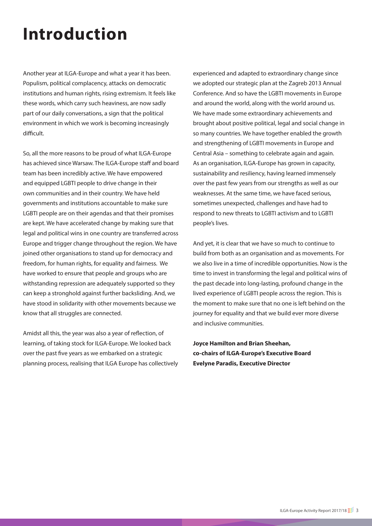# **Introduction**

Another year at ILGA-Europe and what a year it has been. Populism, political complacency, attacks on democratic institutions and human rights, rising extremism. It feels like these words, which carry such heaviness, are now sadly part of our daily conversations, a sign that the political environment in which we work is becoming increasingly difficult.

So, all the more reasons to be proud of what ILGA-Europe has achieved since Warsaw. The ILGA-Europe staff and board team has been incredibly active. We have empowered and equipped LGBTI people to drive change in their own communities and in their country. We have held governments and institutions accountable to make sure LGBTI people are on their agendas and that their promises are kept. We have accelerated change by making sure that legal and political wins in one country are transferred across Europe and trigger change throughout the region. We have joined other organisations to stand up for democracy and freedom, for human rights, for equality and fairness. We have worked to ensure that people and groups who are withstanding repression are adequately supported so they can keep a stronghold against further backsliding. And, we have stood in solidarity with other movements because we know that all struggles are connected.

Amidst all this, the year was also a year of reflection, of learning, of taking stock for ILGA-Europe. We looked back over the past five years as we embarked on a strategic planning process, realising that ILGA Europe has collectively

experienced and adapted to extraordinary change since we adopted our strategic plan at the Zagreb 2013 Annual Conference. And so have the LGBTI movements in Europe and around the world, along with the world around us. We have made some extraordinary achievements and brought about positive political, legal and social change in so many countries. We have together enabled the growth and strengthening of LGBTI movements in Europe and Central Asia – something to celebrate again and again. As an organisation, ILGA-Europe has grown in capacity, sustainability and resiliency, having learned immensely over the past few years from our strengths as well as our weaknesses. At the same time, we have faced serious, sometimes unexpected, challenges and have had to respond to new threats to LGBTI activism and to LGBTI people's lives.

And yet, it is clear that we have so much to continue to build from both as an organisation and as movements. For we also live in a time of incredible opportunities. Now is the time to invest in transforming the legal and political wins of the past decade into long-lasting, profound change in the lived experience of LGBTI people across the region. This is the moment to make sure that no one is left behind on the journey for equality and that we build ever more diverse and inclusive communities.

**Joyce Hamilton and Brian Sheehan, co-chairs of ILGA-Europe's Executive Board Evelyne Paradis, Executive Director**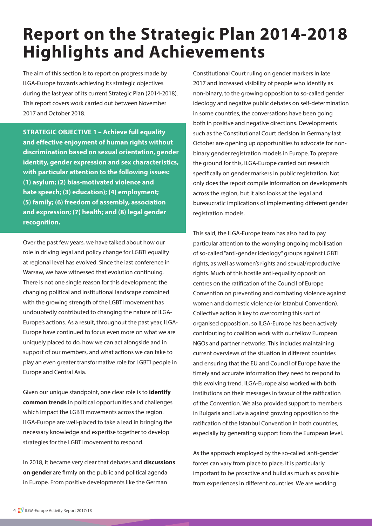## **Report on the Strategic Plan 2014-2018 Highlights and Achievements**

The aim of this section is to report on progress made by ILGA-Europe towards achieving its strategic objectives during the last year of its current Strategic Plan (2014-2018). This report covers work carried out between November 2017 and October 2018.

**STRATEGIC OBJECTIVE 1 – Achieve full equality and effective enjoyment of human rights without discrimination based on sexual orientation, gender identity, gender expression and sex characteristics, with particular attention to the following issues: (1) asylum; (2) bias-motivated violence and hate speech; (3) education); (4) employment; (5) family; (6) freedom of assembly, association and expression; (7) health; and (8) legal gender recognition.**

Over the past few years, we have talked about how our role in driving legal and policy change for LGBTI equality at regional level has evolved. Since the last conference in Warsaw, we have witnessed that evolution continuing. There is not one single reason for this development: the changing political and institutional landscape combined with the growing strength of the LGBTI movement has undoubtedly contributed to changing the nature of ILGA-Europe's actions. As a result, throughout the past year, ILGA-Europe have continued to focus even more on what we are uniquely placed to do, how we can act alongside and in support of our members, and what actions we can take to play an even greater transformative role for LGBTI people in Europe and Central Asia.

Given our unique standpoint, one clear role is to **identify common trends** in political opportunities and challenges which impact the LGBTI movements across the region. ILGA-Europe are well-placed to take a lead in bringing the necessary knowledge and expertise together to develop strategies for the LGBTI movement to respond.

In 2018, it became very clear that debates and **discussions on gender** are firmly on the public and political agenda in Europe. From positive developments like the German

Constitutional Court ruling on gender markers in late 2017 and increased visibility of people who identify as non-binary, to the growing opposition to so-called gender ideology and negative public debates on self-determination in some countries, the conversations have been going both in positive and negative directions. Developments such as the Constitutional Court decision in Germany last October are opening up opportunities to advocate for nonbinary gender registration models in Europe. To prepare the ground for this, ILGA-Europe carried out research specifically on gender markers in public registration. Not only does the report compile information on developments across the region, but it also looks at the legal and bureaucratic implications of implementing different gender registration models.

This said, the ILGA-Europe team has also had to pay particular attention to the worrying ongoing mobilisation of so-called "anti-gender ideology" groups against LGBTI rights, as well as women's rights and sexual/reproductive rights. Much of this hostile anti-equality opposition centres on the ratification of the Council of Europe Convention on preventing and combating violence against women and domestic violence (or Istanbul Convention). Collective action is key to overcoming this sort of organised opposition, so ILGA-Europe has been actively contributing to coalition work with our fellow European NGOs and partner networks. This includes maintaining current overviews of the situation in different countries and ensuring that the EU and Council of Europe have the timely and accurate information they need to respond to this evolving trend. ILGA-Europe also worked with both institutions on their messages in favour of the ratification of the Convention. We also provided support to members in Bulgaria and Latvia against growing opposition to the ratification of the Istanbul Convention in both countries, especially by generating support from the European level.

As the approach employed by the so-called 'anti-gender' forces can vary from place to place, it is particularly important to be proactive and build as much as possible from experiences in different countries. We are working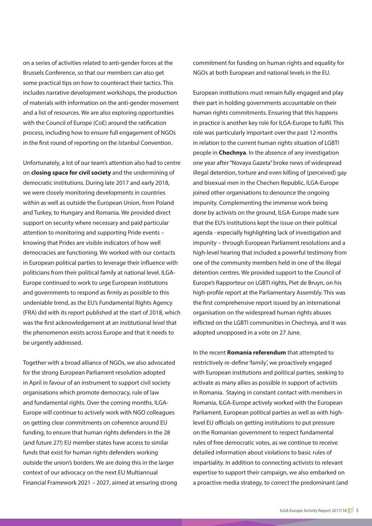on a series of activities related to anti-gender forces at the Brussels Conference, so that our members can also get some practical tips on how to counteract their tactics. This includes narrative development workshops, the production of materials with information on the anti-gender movement and a list of resources. We are also exploring opportunities with the Council of Europe (CoE) around the ratification process, including how to ensure full engagement of NGOs in the first round of reporting on the Istanbul Convention.

Unfortunately, a lot of our team's attention also had to centre on **closing space for civil society** and the undermining of democratic institutions. During late 2017 and early 2018, we were closely monitoring developments in countries within as well as outside the European Union, from Poland and Turkey, to Hungary and Romania. We provided direct support on security where necessary and paid particular attention to monitoring and supporting Pride events – knowing that Prides are visible indicators of how well democracies are functioning. We worked with our contacts in European political parties to leverage their influence with politicians from their political family at national level. ILGA-Europe continued to work to urge European institutions and governments to respond as firmly as possible to this undeniable trend, as the EU's Fundamental Rights Agency (FRA) did with its report published at the start of 2018, which was the first acknowledgement at an institutional level that the phenomenon exists across Europe and that it needs to be urgently addressed.

Together with a broad alliance of NGOs, we also advocated for the strong European Parliament resolution adopted in April in favour of an instrument to support civil society organisations which promote democracy, rule of law and fundamental rights. Over the coming months, ILGA-Europe will continue to actively work with NGO colleagues on getting clear commitments on coherence around EU funding, to ensure that human rights defenders in the 28 (and future 27!) EU member states have access to similar funds that exist for human rights defenders working outside the union's borders. We are doing this in the larger context of our advocacy on the next EU Multiannual Financial Framework 2021 – 2027, aimed at ensuring strong commitment for funding on human rights and equality for NGOs at both European and national levels in the EU.

European institutions must remain fully engaged and play their part in holding governments accountable on their human rights commitments. Ensuring that this happens in practice is another key role for ILGA-Europe to fulfil. This role was particularly important over the past 12 months in relation to the current human rights situation of LGBTI people in **Chechnya**. In the absence of any investigation one year after "Novaya Gazeta" broke news of widespread illegal detention, torture and even killing of (perceived) gay and bisexual men in the Chechen Republic, ILGA-Europe joined other organisations to denounce the ongoing impunity. Complementing the immense work being done by activists on the ground, ILGA-Europe made sure that the EU's institutions kept the issue on their political agenda - especially highlighting lack of investigation and impunity – through European Parliament resolutions and a high-level hearing that included a powerful testimony from one of the community members held in one of the illegal detention centres. We provided support to the Council of Europe's Rapporteur on LGBTI rights, Piet de Bruyn, on his high-profile report at the Parliamentary Assembly. This was the first comprehensive report issued by an international organisation on the widespread human rights abuses inflicted on the LGBTI communities in Chechnya, and it was adopted unopposed in a vote on 27 June.

In the recent **Romania referendum** that attempted to restrictively re-define 'family', we proactively engaged with European institutions and political parties, seeking to activate as many allies as possible in support of activists in Romania. Staying in constant contact with members in Romania, ILGA-Europe actively worked with the European Parliament, European political parties as well as with highlevel EU officials on getting institutions to put pressure on the Romanian government to respect fundamental rules of free democratic votes, as we continue to receive detailed information about violations to basic rules of impartiality. In addition to connecting activists to relevant expertise to support their campaign, we also embarked on a proactive media strategy, to correct the predominant (and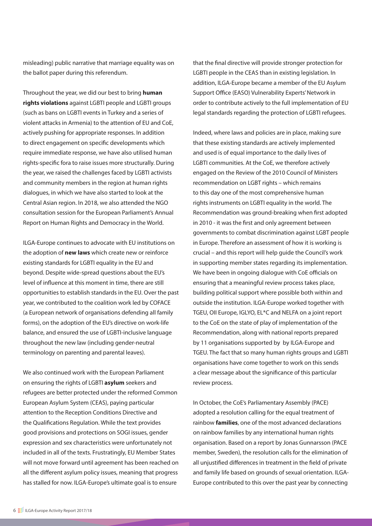misleading) public narrative that marriage equality was on the ballot paper during this referendum.

Throughout the year, we did our best to bring **human rights violations** against LGBTI people and LGBTI groups (such as bans on LGBTI events in Turkey and a series of violent attacks in Armenia) to the attention of EU and CoE, actively pushing for appropriate responses. In addition to direct engagement on specific developments which require immediate response, we have also utilised human rights-specific fora to raise issues more structurally. During the year, we raised the challenges faced by LGBTI activists and community members in the region at human rights dialogues, in which we have also started to look at the Central Asian region. In 2018, we also attended the NGO consultation session for the European Parliament's Annual Report on Human Rights and Democracy in the World.

ILGA-Europe continues to advocate with EU institutions on the adoption of **new laws** which create new or reinforce existing standards for LGBTI equality in the EU and beyond. Despite wide-spread questions about the EU's level of influence at this moment in time, there are still opportunities to establish standards in the EU. Over the past year, we contributed to the coalition work led by COFACE (a European network of organisations defending all family forms), on the adoption of the EU's directive on work-life balance, and ensured the use of LGBTI-inclusive language throughout the new law (including gender-neutral terminology on parenting and parental leaves).

We also continued work with the European Parliament on ensuring the rights of LGBTI **asylum** seekers and refugees are better protected under the reformed Common European Asylum System (CEAS), paying particular attention to the Reception Conditions Directive and the Qualifications Regulation. While the text provides good provisions and protections on SOGI issues, gender expression and sex characteristics were unfortunately not included in all of the texts. Frustratingly, EU Member States will not move forward until agreement has been reached on all the different asylum policy issues, meaning that progress has stalled for now. ILGA-Europe's ultimate goal is to ensure

that the final directive will provide stronger protection for LGBTI people in the CEAS than in existing legislation. In addition, ILGA-Europe became a member of the EU Asylum Support Office (EASO) Vulnerability Experts' Network in order to contribute actively to the full implementation of EU legal standards regarding the protection of LGBTI refugees.

Indeed, where laws and policies are in place, making sure that these existing standards are actively implemented and used is of equal importance to the daily lives of LGBTI communities. At the CoE, we therefore actively engaged on the Review of the 2010 Council of Ministers recommendation on LGBT rights – which remains to this day one of the most comprehensive human rights instruments on LGBTI equality in the world. The Recommendation was ground-breaking when first adopted in 2010 - it was the first and only agreement between governments to combat discrimination against LGBT people in Europe. Therefore an assessment of how it is working is crucial – and this report will help guide the Council's work in supporting member states regarding its implementation. We have been in ongoing dialogue with CoE officials on ensuring that a meaningful review process takes place, building political support where possible both within and outside the institution. ILGA-Europe worked together with TGEU, OII Europe, IGLYO, EL\*C and NELFA on a joint report to the CoE on the state of play of implementation of the Recommendation, along with national reports prepared by 11 organisations supported by by ILGA-Europe and TGEU. The fact that so many human rights groups and LGBTI organisations have come together to work on this sends a clear message about the significance of this particular review process.

In October, the CoE's Parliamentary Assembly (PACE) adopted a resolution calling for the equal treatment of rainbow **families**, one of the most advanced declarations on rainbow families by any international human rights organisation. Based on a report by Jonas Gunnarsson (PACE member, Sweden), the resolution calls for the elimination of all unjustified differences in treatment in the field of private and family life based on grounds of sexual orientation. ILGA-Europe contributed to this over the past year by connecting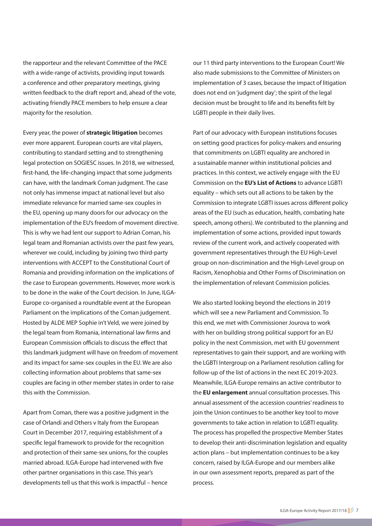the rapporteur and the relevant Committee of the PACE with a wide-range of activists, providing input towards a conference and other preparatory meetings, giving written feedback to the draft report and, ahead of the vote, activating friendly PACE members to help ensure a clear majority for the resolution.

Every year, the power of **strategic litigation** becomes ever more apparent. European courts are vital players, contributing to standard setting and to strengthening legal protection on SOGIESC issues. In 2018, we witnessed, first-hand, the life-changing impact that some judgments can have, with the landmark Coman judgment. The case not only has immense impact at national level but also immediate relevance for married same-sex couples in the EU, opening up many doors for our advocacy on the implementation of the EU's freedom of movement directive. This is why we had lent our support to Adrian Coman, his legal team and Romanian activists over the past few years, wherever we could, including by joining two third-party interventions with ACCEPT to the Constitutional Court of Romania and providing information on the implications of the case to European governments. However, more work is to be done in the wake of the Court decision. In June, ILGA-Europe co-organised a roundtable event at the European Parliament on the implications of the Coman judgement. Hosted by ALDE MEP Sophie in't Veld, we were joined by the legal team from Romania, international law firms and European Commission officials to discuss the effect that this landmark judgment will have on freedom of movement and its impact for same-sex couples in the EU. We are also collecting information about problems that same-sex couples are facing in other member states in order to raise this with the Commission.

Apart from Coman, there was a positive judgment in the case of Orlandi and Others v Italy from the European Court in December 2017, requiring establishment of a specific legal framework to provide for the recognition and protection of their same-sex unions, for the couples married abroad. ILGA-Europe had intervened with five other partner organisations in this case. This year's developments tell us that this work is impactful – hence

our 11 third party interventions to the European Court! We also made submissions to the Committee of Ministers on implementation of 3 cases, because the impact of litigation does not end on 'judgment day'; the spirit of the legal decision must be brought to life and its benefits felt by LGBTI people in their daily lives.

Part of our advocacy with European institutions focuses on setting good practices for policy-makers and ensuring that commitments on LGBTI equality are anchored in a sustainable manner within institutional policies and practices. In this context, we actively engage with the EU Commission on the **EU's List of Actions** to advance LGBTI equality – which sets out all actions to be taken by the Commission to integrate LGBTI issues across different policy areas of the EU (such as education, health, combating hate speech, among others). We contributed to the planning and implementation of some actions, provided input towards review of the current work, and actively cooperated with government representatives through the EU High-Level group on non-discrimination and the High-Level group on Racism, Xenophobia and Other Forms of Discrimination on the implementation of relevant Commission policies.

We also started looking beyond the elections in 2019 which will see a new Parliament and Commission. To this end, we met with Commissioner Jourova to work with her on building strong political support for an EU policy in the next Commission, met with EU government representatives to gain their support, and are working with the LGBTI Intergroup on a Parliament resolution calling for follow-up of the list of actions in the next EC 2019-2023. Meanwhile, ILGA-Europe remains an active contributor to the **EU enlargement** annual consultation processes. This annual assessment of the accession countries' readiness to join the Union continues to be another key tool to move governments to take action in relation to LGBTI equality. The process has propelled the prospective Member States to develop their anti-discrimination legislation and equality action plans – but implementation continues to be a key concern, raised by ILGA-Europe and our members alike in our own assessment reports, prepared as part of the process.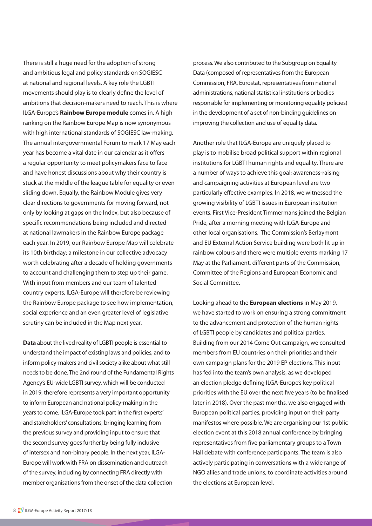There is still a huge need for the adoption of strong and ambitious legal and policy standards on SOGIESC at national and regional levels. A key role the LGBTI movements should play is to clearly define the level of ambitions that decision-makers need to reach. This is where ILGA-Europe's **Rainbow Europe module** comes in. A high ranking on the Rainbow Europe Map is now synonymous with high international standards of SOGIESC law-making. The annual intergovernmental Forum to mark 17 May each year has become a vital date in our calendar as it offers a regular opportunity to meet policymakers face to face and have honest discussions about why their country is stuck at the middle of the league table for equality or even sliding down. Equally, the Rainbow Module gives very clear directions to governments for moving forward, not only by looking at gaps on the Index, but also because of specific recommendations being included and directed at national lawmakers in the Rainbow Europe package each year. In 2019, our Rainbow Europe Map will celebrate its 10th birthday; a milestone in our collective advocacy worth celebrating after a decade of holding governments to account and challenging them to step up their game. With input from members and our team of talented country experts, ILGA-Europe will therefore be reviewing the Rainbow Europe package to see how implementation, social experience and an even greater level of legislative scrutiny can be included in the Map next year.

**Data** about the lived reality of LGBTI people is essential to understand the impact of existing laws and policies, and to inform policy-makers and civil society alike about what still needs to be done. The 2nd round of the Fundamental Rights Agency's EU-wide LGBTI survey, which will be conducted in 2019, therefore represents a very important opportunity to inform European and national policy-making in the years to come. ILGA-Europe took part in the first experts' and stakeholders' consultations, bringing learning from the previous survey and providing input to ensure that the second survey goes further by being fully inclusive of intersex and non-binary people. In the next year, ILGA-Europe will work with FRA on dissemination and outreach of the survey, including by connecting FRA directly with member organisations from the onset of the data collection

process. We also contributed to the Subgroup on Equality Data (composed of representatives from the European Commission, FRA, Eurostat, representatives from national administrations, national statistical institutions or bodies responsible for implementing or monitoring equality policies) in the development of a set of non-binding guidelines on improving the collection and use of equality data.

Another role that ILGA-Europe are uniquely placed to play is to mobilise broad political support within regional institutions for LGBTI human rights and equality. There are a number of ways to achieve this goal; awareness-raising and campaigning activities at European level are two particularly effective examples. In 2018, we witnessed the growing visibility of LGBTI issues in European institution events. First Vice-President Timmermans joined the Belgian Pride, after a morning meeting with ILGA-Europe and other local organisations. The Commission's Berlaymont and EU External Action Service building were both lit up in rainbow colours and there were multiple events marking 17 May at the Parliament, different parts of the Commission, Committee of the Regions and European Economic and Social Committee.

Looking ahead to the **European elections** in May 2019, we have started to work on ensuring a strong commitment to the advancement and protection of the human rights of LGBTI people by candidates and political parties. Building from our 2014 Come Out campaign, we consulted members from EU countries on their priorities and their own campaign plans for the 2019 EP elections. This input has fed into the team's own analysis, as we developed an election pledge defining ILGA-Europe's key political priorities with the EU over the next five years (to be finalised later in 2018). Over the past months, we also engaged with European political parties, providing input on their party manifestos where possible. We are organising our 1st public election event at this 2018 annual conference by bringing representatives from five parliamentary groups to a Town Hall debate with conference participants. The team is also actively participating in conversations with a wide range of NGO allies and trade unions, to coordinate activities around the elections at European level.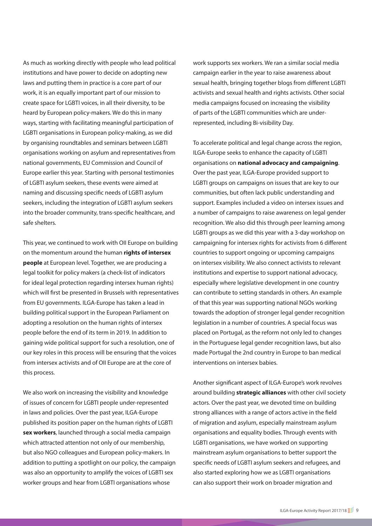As much as working directly with people who lead political institutions and have power to decide on adopting new laws and putting them in practice is a core part of our work, it is an equally important part of our mission to create space for LGBTI voices, in all their diversity, to be heard by European policy-makers. We do this in many ways, starting with facilitating meaningful participation of LGBTI organisations in European policy-making, as we did by organising roundtables and seminars between LGBTI organisations working on asylum and representatives from national governments, EU Commission and Council of Europe earlier this year. Starting with personal testimonies of LGBTI asylum seekers, these events were aimed at naming and discussing specific needs of LGBTI asylum seekers, including the integration of LGBTI asylum seekers into the broader community, trans-specific healthcare, and safe shelters.

This year, we continued to work with OII Europe on building on the momentum around the human **rights of intersex people** at European level. Together, we are producing a legal toolkit for policy makers (a check-list of indicators for ideal legal protection regarding intersex human rights) which will first be presented in Brussels with representatives from EU governments. ILGA-Europe has taken a lead in building political support in the European Parliament on adopting a resolution on the human rights of intersex people before the end of its term in 2019. In addition to gaining wide political support for such a resolution, one of our key roles in this process will be ensuring that the voices from intersex activists and of OII Europe are at the core of this process.

We also work on increasing the visibility and knowledge of issues of concern for LGBTI people under-represented in laws and policies. Over the past year, ILGA-Europe published its position paper on the human rights of LGBTI **sex workers**, launched through a social media campaign which attracted attention not only of our membership, but also NGO colleagues and European policy-makers. In addition to putting a spotlight on our policy, the campaign was also an opportunity to amplify the voices of LGBTI sex worker groups and hear from LGBTI organisations whose

work supports sex workers. We ran a similar social media campaign earlier in the year to raise awareness about sexual health, bringing together blogs from different LGBTI activists and sexual health and rights activists. Other social media campaigns focused on increasing the visibility of parts of the LGBTI communities which are underrepresented, including Bi-visibility Day.

To accelerate political and legal change across the region, ILGA-Europe seeks to enhance the capacity of LGBTI organisations on **national advocacy and campaigning**. Over the past year, ILGA-Europe provided support to LGBTI groups on campaigns on issues that are key to our communities, but often lack public understanding and support. Examples included a video on intersex issues and a number of campaigns to raise awareness on legal gender recognition. We also did this through peer learning among LGBTI groups as we did this year with a 3-day workshop on campaigning for intersex rights for activists from 6 different countries to support ongoing or upcoming campaigns on intersex visibility. We also connect activists to relevant institutions and expertise to support national advocacy, especially where legislative development in one country can contribute to setting standards in others. An example of that this year was supporting national NGOs working towards the adoption of stronger legal gender recognition legislation in a number of countries. A special focus was placed on Portugal, as the reform not only led to changes in the Portuguese legal gender recognition laws, but also made Portugal the 2nd country in Europe to ban medical interventions on intersex babies.

Another significant aspect of ILGA-Europe's work revolves around building **strategic alliances** with other civil society actors. Over the past year, we devoted time on building strong alliances with a range of actors active in the field of migration and asylum, especially mainstream asylum organisations and equality bodies. Through events with LGBTI organisations, we have worked on supporting mainstream asylum organisations to better support the specific needs of LGBTI asylum seekers and refugees, and also started exploring how we as LGBTI organisations can also support their work on broader migration and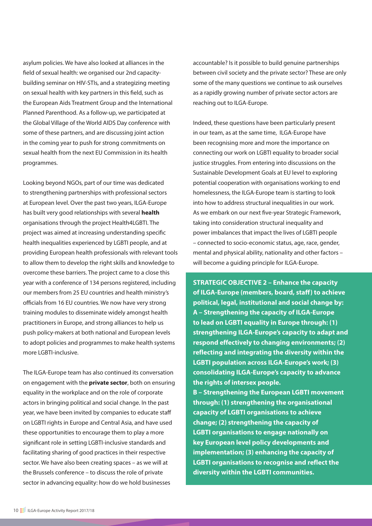asylum policies. We have also looked at alliances in the field of sexual health: we organised our 2nd capacitybuilding seminar on HIV-STIs, and a strategizing meeting on sexual health with key partners in this field, such as the European Aids Treatment Group and the International Planned Parenthood. As a follow-up, we participated at the Global Village of the World AIDS Day conference with some of these partners, and are discussing joint action in the coming year to push for strong commitments on sexual health from the next EU Commission in its health programmes.

Looking beyond NGOs, part of our time was dedicated to strengthening partnerships with professional sectors at European level. Over the past two years, ILGA-Europe has built very good relationships with several **health** organisations through the project Health4LGBTI. The project was aimed at increasing understanding specific health inequalities experienced by LGBTI people, and at providing European health professionals with relevant tools to allow them to develop the right skills and knowledge to overcome these barriers. The project came to a close this year with a conference of 134 persons registered, including our members from 25 EU countries and health ministry's officials from 16 EU countries. We now have very strong training modules to disseminate widely amongst health practitioners in Europe, and strong alliances to help us push policy-makers at both national and European levels to adopt policies and programmes to make health systems more LGBTI-inclusive.

The ILGA-Europe team has also continued its conversation on engagement with the **private sector**, both on ensuring equality in the workplace and on the role of corporate actors in bringing political and social change. In the past year, we have been invited by companies to educate staff on LGBTI rights in Europe and Central Asia, and have used these opportunities to encourage them to play a more significant role in setting LGBTI-inclusive standards and facilitating sharing of good practices in their respective sector. We have also been creating spaces – as we will at the Brussels conference – to discuss the role of private sector in advancing equality: how do we hold businesses

accountable? Is it possible to build genuine partnerships between civil society and the private sector? These are only some of the many questions we continue to ask ourselves as a rapidly growing number of private sector actors are reaching out to ILGA-Europe.

Indeed, these questions have been particularly present in our team, as at the same time, ILGA-Europe have been recognising more and more the importance on connecting our work on LGBTI equality to broader social justice struggles. From entering into discussions on the Sustainable Development Goals at EU level to exploring potential cooperation with organisations working to end homelessness, the ILGA-Europe team is starting to look into how to address structural inequalities in our work. As we embark on our next five-year Strategic Framework, taking into consideration structural inequality and power imbalances that impact the lives of LGBTI people – connected to socio-economic status, age, race, gender, mental and physical ability, nationality and other factors – will become a guiding principle for ILGA-Europe.

**STRATEGIC OBJECTIVE 2 – Enhance the capacity of ILGA-Europe (members, board, staff) to achieve political, legal, institutional and social change by: A – Strengthening the capacity of ILGA-Europe to lead on LGBTI equality in Europe through: (1) strengthening ILGA-Europe's capacity to adapt and respond effectively to changing environments; (2) reflecting and integrating the diversity within the LGBTI population across ILGA-Europe's work; (3) consolidating ILGA-Europe's capacity to advance the rights of intersex people. B – Strengthening the European LGBTI movement** 

**through: (1) strengthening the organisational capacity of LGBTI organisations to achieve change; (2) strengthening the capacity of LGBTI organisations to engage nationally on key European level policy developments and implementation; (3) enhancing the capacity of LGBTI organisations to recognise and reflect the diversity within the LGBTI communities.**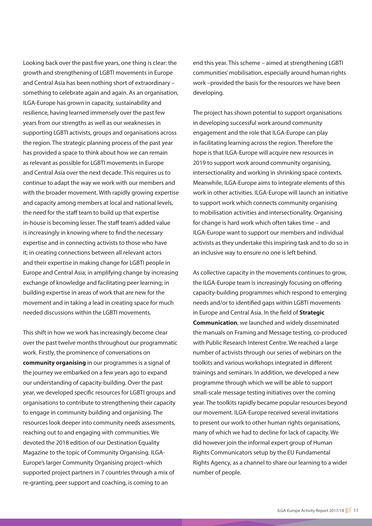Looking back over the past five years, one thing is clear: the growth and strengthening of LGBTI movements in Europe and Central Asia has been nothing short of extraordinary – something to celebrate again and again. As an organisation, ILGA-Europe has grown in capacity, sustainability and resilience, having learned immensely over the past few years from our strengths as well as our weaknesses in supporting LGBTI activists, groups and organisations across the region. The strategic planning process of the past year has provided a space to think about how we can remain as relevant as possible for LGBTI movements in Europe and Central Asia over the next decade. This requires us to continue to adapt the way we work with our members and with the broader movement. With rapidly growing expertise and capacity among members at local and national levels, the need for the staff team to build up that expertise in-house is becoming lesser. The staff team's added value is increasingly in knowing where to find the necessary expertise and in connecting activists to those who have it; in creating connections between all relevant actors and their expertise in making change for LGBTI people in Europe and Central Asia; in amplifying change by increasing exchange of knowledge and facilitating peer learning; in building expertise in areas of work that are new for the movement and in taking a lead in creating space for much needed discussions within the LGBTI movements.

This shift in how we work has increasingly become clear over the past twelve months throughout our programmatic work. Firstly, the prominence of conversations on **community organising** in our programmes is a signal of the journey we embarked on a few years ago to expand our understanding of capacity-building. Over the past year, we developed specific resources for LGBTI groups and organisations to contribute to strengthening their capacity to engage in community building and organising. The resources look deeper into community needs assessments, reaching out to and engaging with communities. We devoted the 2018 edition of our Destination Equality Magazine to the topic of Community Organising. ILGA-Europe's larger Community Organising project–which supported project partners in 7 countries through a mix of re-granting, peer support and coaching, is coming to an

end this year. This scheme – aimed at strengthening LGBTI communities' mobilisation, especially around human rights work –provided the basis for the resources we have been developing.

The project has shown potential to support organisations in developing successful work around community engagement and the role that ILGA-Europe can play in facilitating learning across the region. Therefore the hope is that ILGA-Europe will acquire new resources in 2019 to support work around community organising, intersectionality and working in shrinking space contexts. Meanwhile, ILGA-Europe aims to integrate elements of this work in other activities. ILGA-Europe will launch an initiative to support work which connects community organising to mobilisation activities and intersectionality. Organising for change is hard work which often takes time – and ILGA-Europe want to support our members and individual activists as they undertake this inspiring task and to do so in an inclusive way to ensure no one is left behind.

As collective capacity in the movements continues to grow, the ILGA-Europe team is increasingly focusing on offering capacity-building programmes which respond to emerging needs and/or to identified gaps within LGBTI movements in Europe and Central Asia. In the field of **Strategic Communication**, we launched and widely disseminated the manuals on Framing and Message testing, co-produced with Public Research Interest Centre. We reached a large number of activists through our series of webinars on the toolkits and various workshops integrated in different trainings and seminars. In addition, we developed a new programme through which we will be able to support small-scale message testing initiatives over the coming year. The toolkits rapidly became popular resources beyond our movement. ILGA-Europe received several invitations to present our work to other human rights organisations, many of which we had to decline for lack of capacity. We did however join the informal expert group of Human Rights Communicators setup by the EU Fundamental Rights Agency, as a channel to share our learning to a wider number of people.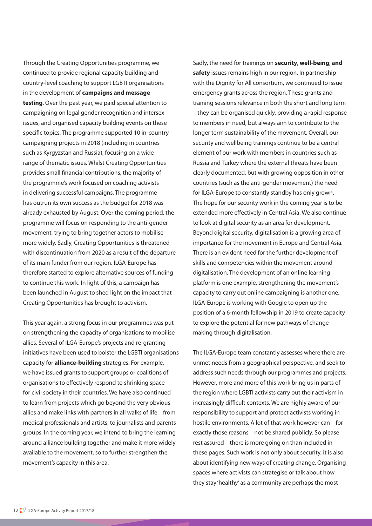Through the Creating Opportunities programme, we continued to provide regional capacity building and country-level coaching to support LGBTI organisations in the development of **campaigns and message testing**. Over the past year, we paid special attention to campaigning on legal gender recognition and intersex issues, and organised capacity building events on these specific topics. The programme supported 10 in-country campaigning projects in 2018 (including in countries such as Kyrgyzstan and Russia), focusing on a wide range of thematic issues. Whilst Creating Opportunities provides small financial contributions, the majority of the programme's work focused on coaching activists in delivering successful campaigns. The programme has outrun its own success as the budget for 2018 was already exhausted by August. Over the coming period, the programme will focus on responding to the anti-gender movement, trying to bring together actors to mobilise more widely. Sadly, Creating Opportunities is threatened with discontinuation from 2020 as a result of the departure of its main funder from our region. ILGA-Europe has therefore started to explore alternative sources of funding to continue this work. In light of this, a campaign has been launched in August to shed light on the impact that Creating Opportunities has brought to activism.

This year again, a strong focus in our programmes was put on strengthening the capacity of organisations to mobilise allies. Several of ILGA-Europe's projects and re-granting initiatives have been used to bolster the LGBTI organisations capacity for **alliance-building** strategies. For example, we have issued grants to support groups or coalitions of organisations to effectively respond to shrinking space for civil society in their countries. We have also continued to learn from projects which go beyond the very obvious allies and make links with partners in all walks of life – from medical professionals and artists, to journalists and parents groups. In the coming year, we intend to bring the learning around alliance building together and make it more widely available to the movement, so to further strengthen the movement's capacity in this area.

Sadly, the need for trainings on **security**, **well-being**, **and safety** issues remains high in our region. In partnership with the Dignity for All consortium, we continued to issue emergency grants across the region. These grants and training sessions relevance in both the short and long term – they can be organised quickly, providing a rapid response to members in need, but always aim to contribute to the longer term sustainability of the movement. Overall, our security and wellbeing trainings continue to be a central element of our work with members in countries such as Russia and Turkey where the external threats have been clearly documented, but with growing opposition in other countries (such as the anti-gender movement) the need for ILGA-Europe to constantly standby has only grown. The hope for our security work in the coming year is to be extended more effectively in Central Asia. We also continue to look at digital security as an area for development. Beyond digital security, digitalisation is a growing area of importance for the movement in Europe and Central Asia. There is an evident need for the further development of skills and competencies within the movement around digitalisation. The development of an online learning platform is one example, strengthening the movement's capacity to carry out online campaigning is another one. ILGA-Europe is working with Google to open up the position of a 6-month fellowship in 2019 to create capacity to explore the potential for new pathways of change making through digitalisation.

The ILGA-Europe team constantly assesses where there are unmet needs from a geographical perspective, and seek to address such needs through our programmes and projects. However, more and more of this work bring us in parts of the region where LGBTI activists carry out their activism in increasingly difficult contexts. We are highly aware of our responsibility to support and protect activists working in hostile environments. A lot of that work however can – for exactly those reasons – not be shared publicly. So please rest assured – there is more going on than included in these pages. Such work is not only about security, it is also about identifying new ways of creating change. Organising spaces where activists can strategise or talk about how they stay 'healthy' as a community are perhaps the most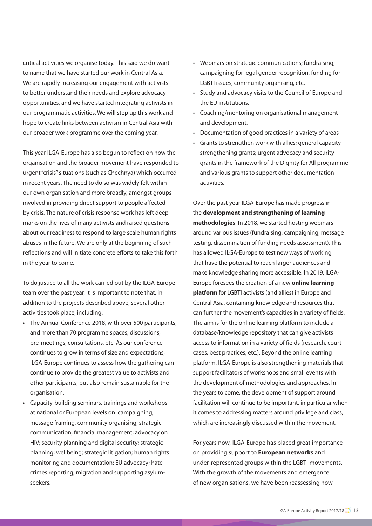critical activities we organise today. This said we do want to name that we have started our work in Central Asia. We are rapidly increasing our engagement with activists to better understand their needs and explore advocacy opportunities, and we have started integrating activists in our programmatic activities. We will step up this work and hope to create links between activism in Central Asia with our broader work programme over the coming year.

This year ILGA-Europe has also begun to reflect on how the organisation and the broader movement have responded to urgent "crisis" situations (such as Chechnya) which occurred in recent years. The need to do so was widely felt within our own organisation and more broadly, amongst groups involved in providing direct support to people affected by crisis. The nature of crisis response work has left deep marks on the lives of many activists and raised questions about our readiness to respond to large scale human rights abuses in the future. We are only at the beginning of such reflections and will initiate concrete efforts to take this forth in the year to come.

To do justice to all the work carried out by the ILGA-Europe team over the past year, it is important to note that, in addition to the projects described above, several other activities took place, including:

- The Annual Conference 2018, with over 500 participants, and more than 70 programme spaces, discussions, pre-meetings, consultations, etc. As our conference continues to grow in terms of size and expectations, ILGA-Europe continues to assess how the gathering can continue to provide the greatest value to activists and other participants, but also remain sustainable for the organisation.
- Capacity-building seminars, trainings and workshops at national or European levels on: campaigning, message framing, community organising; strategic communication; financial management; advocacy on HIV; security planning and digital security; strategic planning; wellbeing; strategic litigation; human rights monitoring and documentation; EU advocacy; hate crimes reporting; migration and supporting asylumseekers.
- Webinars on strategic communications; fundraising; campaigning for legal gender recognition, funding for LGBTI issues, community organising, etc.
- Study and advocacy visits to the Council of Europe and the EU institutions.
- Coaching/mentoring on organisational management and development.
- Documentation of good practices in a variety of areas
- Grants to strengthen work with allies; general capacity strengthening grants; urgent advocacy and security grants in the framework of the Dignity for All programme and various grants to support other documentation activities.

Over the past year ILGA-Europe has made progress in the **development and strengthening of learning methodologies**. In 2018, we started hosting webinars around various issues (fundraising, campaigning, message testing, dissemination of funding needs assessment). This has allowed ILGA-Europe to test new ways of working that have the potential to reach larger audiences and make knowledge sharing more accessible. In 2019, ILGA-Europe foresees the creation of a new **online learning platform** for LGBTI activists (and allies) in Europe and Central Asia, containing knowledge and resources that can further the movement's capacities in a variety of fields. The aim is for the online learning platform to include a database/knowledge repository that can give activists access to information in a variety of fields (research, court cases, best practices, etc.). Beyond the online learning platform, ILGA-Europe is also strengthening materials that support facilitators of workshops and small events with the development of methodologies and approaches. In the years to come, the development of support around facilitation will continue to be important, in particular when it comes to addressing matters around privilege and class, which are increasingly discussed within the movement.

For years now, ILGA-Europe has placed great importance on providing support to **European networks** and under-represented groups within the LGBTI movements. With the growth of the movements and emergence of new organisations, we have been reassessing how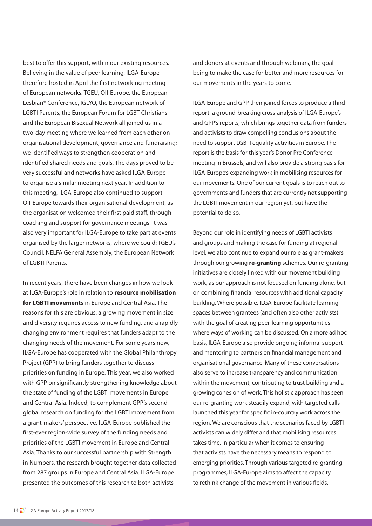best to offer this support, within our existing resources. Believing in the value of peer learning, ILGA-Europe therefore hosted in April the first networking meeting of European networks. TGEU, OII-Europe, the European Lesbian\* Conference, IGLYO, the European network of LGBTI Parents, the European Forum for LGBT Christians and the European Bisexual Network all joined us in a two-day meeting where we learned from each other on organisational development, governance and fundraising; we identified ways to strengthen cooperation and identified shared needs and goals. The days proved to be very successful and networks have asked ILGA-Europe to organise a similar meeting next year. In addition to this meeting, ILGA-Europe also continued to support OII-Europe towards their organisational development, as the organisation welcomed their first paid staff, through coaching and support for governance meetings. It was also very important for ILGA-Europe to take part at events organised by the larger networks, where we could: TGEU's Council, NELFA General Assembly, the European Network of LGBTI Parents.

In recent years, there have been changes in how we look at ILGA-Europe's role in relation to **resource mobilisation for LGBTI movements** in Europe and Central Asia. The reasons for this are obvious: a growing movement in size and diversity requires access to new funding, and a rapidly changing environment requires that funders adapt to the changing needs of the movement. For some years now, ILGA-Europe has cooperated with the Global Philanthropy Project (GPP) to bring funders together to discuss priorities on funding in Europe. This year, we also worked with GPP on significantly strengthening knowledge about the state of funding of the LGBTI movements in Europe and Central Asia. Indeed, to complement GPP's second global research on funding for the LGBTI movement from a grant-makers' perspective, ILGA-Europe published the first-ever region-wide survey of the funding needs and priorities of the LGBTI movement in Europe and Central Asia. Thanks to our successful partnership with Strength in Numbers, the research brought together data collected from 287 groups in Europe and Central Asia. ILGA-Europe presented the outcomes of this research to both activists

and donors at events and through webinars, the goal being to make the case for better and more resources for our movements in the years to come.

ILGA-Europe and GPP then joined forces to produce a third report: a ground-breaking cross-analysis of ILGA-Europe's and GPP's reports, which brings together data from funders and activists to draw compelling conclusions about the need to support LGBTI equality activities in Europe. The report is the basis for this year's Donor Pre Conference meeting in Brussels, and will also provide a strong basis for ILGA-Europe's expanding work in mobilising resources for our movements. One of our current goals is to reach out to governments and funders that are currently not supporting the LGBTI movement in our region yet, but have the potential to do so.

Beyond our role in identifying needs of LGBTI activists and groups and making the case for funding at regional level, we also continue to expand our role as grant-makers through our growing **re-granting** schemes. Our re-granting initiatives are closely linked with our movement building work, as our approach is not focused on funding alone, but on combining financial resources with additional capacity building. Where possible, ILGA-Europe facilitate learning spaces between grantees (and often also other activists) with the goal of creating peer-learning opportunities where ways of working can be discussed. On a more ad hoc basis, ILGA-Europe also provide ongoing informal support and mentoring to partners on financial management and organisational governance. Many of these conversations also serve to increase transparency and communication within the movement, contributing to trust building and a growing cohesion of work. This holistic approach has seen our re-granting work steadily expand, with targeted calls launched this year for specific in-country work across the region. We are conscious that the scenarios faced by LGBTI activists can widely differ and that mobilising resources takes time, in particular when it comes to ensuring that activists have the necessary means to respond to emerging priorities. Through various targeted re-granting programmes, ILGA-Europe aims to affect the capacity to rethink change of the movement in various fields.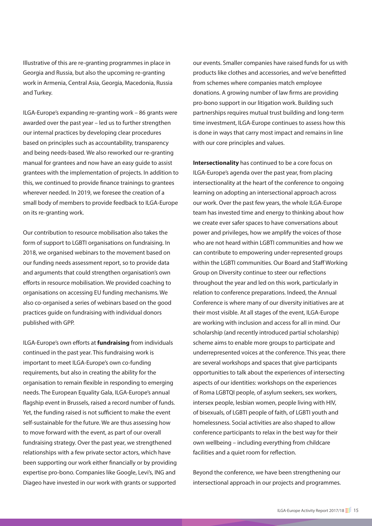Illustrative of this are re-granting programmes in place in Georgia and Russia, but also the upcoming re-granting work in Armenia, Central Asia, Georgia, Macedonia, Russia and Turkey.

ILGA-Europe's expanding re-granting work – 86 grants were awarded over the past year – led us to further strengthen our internal practices by developing clear procedures based on principles such as accountability, transparency and being needs-based. We also reworked our re-granting manual for grantees and now have an easy guide to assist grantees with the implementation of projects. In addition to this, we continued to provide finance trainings to grantees wherever needed. In 2019, we foresee the creation of a small body of members to provide feedback to ILGA-Europe on its re-granting work.

Our contribution to resource mobilisation also takes the form of support to LGBTI organisations on fundraising. In 2018, we organised webinars to the movement based on our funding needs assessment report, so to provide data and arguments that could strengthen organisation's own efforts in resource mobilisation. We provided coaching to organisations on accessing EU funding mechanisms. We also co-organised a series of webinars based on the good practices guide on fundraising with individual donors published with GPP.

ILGA-Europe's own efforts at **fundraising** from individuals continued in the past year. This fundraising work is important to meet ILGA-Europe's own co-funding requirements, but also in creating the ability for the organisation to remain flexible in responding to emerging needs. The European Equality Gala, ILGA-Europe's annual flagship event in Brussels, raised a record number of funds. Yet, the funding raised is not sufficient to make the event self-sustainable for the future. We are thus assessing how to move forward with the event, as part of our overall fundraising strategy. Over the past year, we strengthened relationships with a few private sector actors, which have been supporting our work either financially or by providing expertise pro-bono. Companies like Google, Levi's, ING and Diageo have invested in our work with grants or supported

our events. Smaller companies have raised funds for us with products like clothes and accessories, and we've benefitted from schemes where companies match employee donations. A growing number of law firms are providing pro-bono support in our litigation work. Building such partnerships requires mutual trust building and long-term time investment, ILGA-Europe continues to assess how this is done in ways that carry most impact and remains in line with our core principles and values.

**Intersectionality** has continued to be a core focus on ILGA-Europe's agenda over the past year, from placing intersectionality at the heart of the conference to ongoing learning on adopting an intersectional approach across our work. Over the past few years, the whole ILGA-Europe team has invested time and energy to thinking about how we create ever safer spaces to have conversations about power and privileges, how we amplify the voices of those who are not heard within LGBTI communities and how we can contribute to empowering under-represented groups within the LGBTI communities. Our Board and Staff Working Group on Diversity continue to steer our reflections throughout the year and led on this work, particularly in relation to conference preparations. Indeed, the Annual Conference is where many of our diversity initiatives are at their most visible. At all stages of the event, ILGA-Europe are working with inclusion and access for all in mind. Our scholarship (and recently introduced partial scholarship) scheme aims to enable more groups to participate and underrepresented voices at the conference. This year, there are several workshops and spaces that give participants opportunities to talk about the experiences of intersecting aspects of our identities: workshops on the experiences of Roma LGBTQI people, of asylum seekers, sex workers, intersex people, lesbian women, people living with HIV, of bisexuals, of LGBTI people of faith, of LGBTI youth and homelessness. Social activities are also shaped to allow conference participants to relax in the best way for their own wellbeing – including everything from childcare facilities and a quiet room for reflection.

Beyond the conference, we have been strengthening our intersectional approach in our projects and programmes.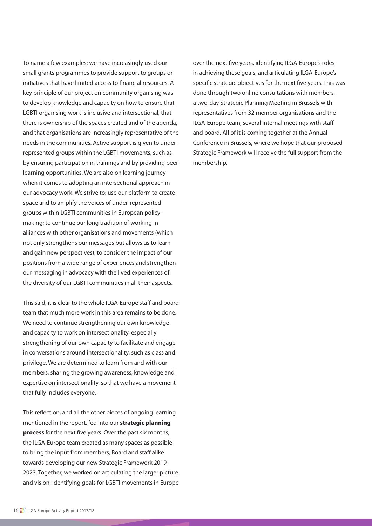To name a few examples: we have increasingly used our small grants programmes to provide support to groups or initiatives that have limited access to financial resources. A key principle of our project on community organising was to develop knowledge and capacity on how to ensure that LGBTI organising work is inclusive and intersectional, that there is ownership of the spaces created and of the agenda, and that organisations are increasingly representative of the needs in the communities. Active support is given to underrepresented groups within the LGBTI movements, such as by ensuring participation in trainings and by providing peer learning opportunities. We are also on learning journey when it comes to adopting an intersectional approach in our advocacy work. We strive to: use our platform to create space and to amplify the voices of under-represented groups within LGBTI communities in European policymaking; to continue our long tradition of working in alliances with other organisations and movements (which not only strengthens our messages but allows us to learn and gain new perspectives); to consider the impact of our positions from a wide range of experiences and strengthen our messaging in advocacy with the lived experiences of the diversity of our LGBTI communities in all their aspects.

This said, it is clear to the whole ILGA-Europe staff and board team that much more work in this area remains to be done. We need to continue strengthening our own knowledge and capacity to work on intersectionality, especially strengthening of our own capacity to facilitate and engage in conversations around intersectionality, such as class and privilege. We are determined to learn from and with our members, sharing the growing awareness, knowledge and expertise on intersectionality, so that we have a movement that fully includes everyone.

This reflection, and all the other pieces of ongoing learning mentioned in the report, fed into our **strategic planning process** for the next five years. Over the past six months, the ILGA-Europe team created as many spaces as possible to bring the input from members, Board and staff alike towards developing our new Strategic Framework 2019- 2023. Together, we worked on articulating the larger picture and vision, identifying goals for LGBTI movements in Europe

over the next five years, identifying ILGA-Europe's roles in achieving these goals, and articulating ILGA-Europe's specific strategic objectives for the next five years. This was done through two online consultations with members, a two-day Strategic Planning Meeting in Brussels with representatives from 32 member organisations and the ILGA-Europe team, several internal meetings with staff and board. All of it is coming together at the Annual Conference in Brussels, where we hope that our proposed Strategic Framework will receive the full support from the membership.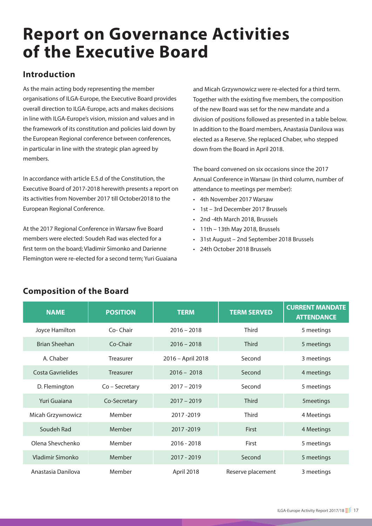### **Report on Governance Activities of the Executive Board**

#### **Introduction**

As the main acting body representing the member organisations of ILGA-Europe, the Executive Board provides overall direction to ILGA-Europe, acts and makes decisions in line with ILGA-Europe's vision, mission and values and in the framework of its constitution and policies laid down by the European Regional conference between conferences, in particular in line with the strategic plan agreed by members.

In accordance with article E.5.d of the Constitution, the Executive Board of 2017-2018 herewith presents a report on its activities from November 2017 till October2018 to the European Regional Conference.

At the 2017 Regional Conference in Warsaw five Board members were elected: Soudeh Rad was elected for a first term on the board; Vladimir Simonko and Darienne Flemington were re-elected for a second term; Yuri Guaiana and Micah Grzywnowicz were re-elected for a third term. Together with the existing five members, the composition of the new Board was set for the new mandate and a division of positions followed as presented in a table below. In addition to the Board members, Anastasia Danilova was elected as a Reserve. She replaced Chaber, who stepped down from the Board in April 2018.

The board convened on six occasions since the 2017 Annual Conference in Warsaw (in third column, number of attendance to meetings per member):

- 4th November 2017 Warsaw
- 1st 3rd December 2017 Brussels
- 2nd -4th March 2018, Brussels
- 11th 13th May 2018, Brussels
- 31st August 2nd September 2018 Brussels
- 24th October 2018 Brussels

| <b>NAME</b>          | <b>POSITION</b>  | <b>TERM</b>       | <b>TERM SERVED</b> | <b>CURRENT MANDATE</b><br><b>ATTENDANCE</b> |
|----------------------|------------------|-------------------|--------------------|---------------------------------------------|
| Joyce Hamilton       | Co-Chair         | $2016 - 2018$     | <b>Third</b>       | 5 meetings                                  |
| <b>Brian Sheehan</b> | Co-Chair         | $2016 - 2018$     | <b>Third</b>       | 5 meetings                                  |
| A. Chaber            | Treasurer        | 2016 - April 2018 | Second             | 3 meetings                                  |
| Costa Gavrielides    | <b>Treasurer</b> | $2016 - 2018$     | Second             | 4 meetings                                  |
| D. Flemington        | Co - Secretary   | $2017 - 2019$     | Second             | 5 meetings                                  |
| Yuri Guaiana         | Co-Secretary     | $2017 - 2019$     | <b>Third</b>       | 5meetings                                   |
| Micah Grzywnowicz    | Member           | 2017-2019         | <b>Third</b>       | 4 Meetings                                  |
| Soudeh Rad           | Member           | 2017-2019         | First              | 4 Meetings                                  |
| Olena Shevchenko     | Member           | $2016 - 2018$     | First              | 5 meetings                                  |
| Vladimir Simonko     | Member           | 2017 - 2019       | Second             | 5 meetings                                  |
| Anastasia Danilova   | Member           | April 2018        | Reserve placement  | 3 meetings                                  |

#### **Composition of the Board**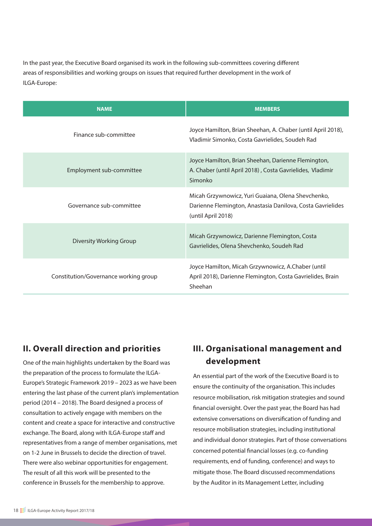In the past year, the Executive Board organised its work in the following sub-committees covering different areas of responsibilities and working groups on issues that required further development in the work of ILGA-Europe:

| <b>NAME</b>                           | <b>MEMBERS</b>                                                                                                                         |  |
|---------------------------------------|----------------------------------------------------------------------------------------------------------------------------------------|--|
| Finance sub-committee                 | Joyce Hamilton, Brian Sheehan, A. Chaber (until April 2018),<br>Vladimir Simonko, Costa Gavrielides, Soudeh Rad                        |  |
| Employment sub-committee              | Joyce Hamilton, Brian Sheehan, Darienne Flemington,<br>A. Chaber (until April 2018), Costa Gavrielides, Vladimir<br>Simonko            |  |
| Governance sub-committee              | Micah Grzywnowicz, Yuri Guaiana, Olena Shevchenko,<br>Darienne Flemington, Anastasia Danilova, Costa Gavrielides<br>(until April 2018) |  |
| Diversity Working Group               | Micah Grzywnowicz, Darienne Flemington, Costa<br>Gavrielides, Olena Shevchenko, Soudeh Rad                                             |  |
| Constitution/Governance working group | Joyce Hamilton, Micah Grzywnowicz, A.Chaber (until<br>April 2018), Darienne Flemington, Costa Gavrielides, Brain<br>Sheehan            |  |

#### **II. Overall direction and priorities**

One of the main highlights undertaken by the Board was the preparation of the process to formulate the ILGA-Europe's Strategic Framework 2019 – 2023 as we have been entering the last phase of the current plan's implementation period (2014 – 2018). The Board designed a process of consultation to actively engage with members on the content and create a space for interactive and constructive exchange. The Board, along with ILGA-Europe staff and representatives from a range of member organisations, met on 1-2 June in Brussels to decide the direction of travel. There were also webinar opportunities for engagement. The result of all this work will be presented to the conference in Brussels for the membership to approve.

#### **III. Organisational management and development**

An essential part of the work of the Executive Board is to ensure the continuity of the organisation. This includes resource mobilisation, risk mitigation strategies and sound financial oversight. Over the past year, the Board has had extensive conversations on diversification of funding and resource mobilisation strategies, including institutional and individual donor strategies. Part of those conversations concerned potential financial losses (e.g. co-funding requirements, end of funding, conference) and ways to mitigate those. The Board discussed recommendations by the Auditor in its Management Letter, including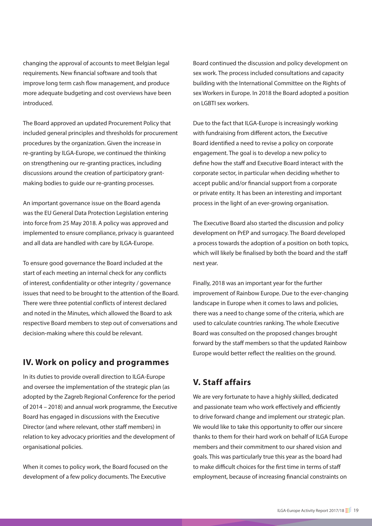changing the approval of accounts to meet Belgian legal requirements. New financial software and tools that improve long term cash flow management, and produce more adequate budgeting and cost overviews have been introduced.

The Board approved an updated Procurement Policy that included general principles and thresholds for procurement procedures by the organization. Given the increase in re-granting by ILGA-Europe, we continued the thinking on strengthening our re-granting practices, including discussions around the creation of participatory grantmaking bodies to guide our re-granting processes.

An important governance issue on the Board agenda was the EU General Data Protection Legislation entering into force from 25 May 2018. A policy was approved and implemented to ensure compliance, privacy is guaranteed and all data are handled with care by ILGA-Europe.

To ensure good governance the Board included at the start of each meeting an internal check for any conflicts of interest, confidentiality or other integrity / governance issues that need to be brought to the attention of the Board. There were three potential conflicts of interest declared and noted in the Minutes, which allowed the Board to ask respective Board members to step out of conversations and decision-making where this could be relevant.

#### **IV. Work on policy and programmes**

In its duties to provide overall direction to ILGA-Europe and oversee the implementation of the strategic plan (as adopted by the Zagreb Regional Conference for the period of 2014 – 2018) and annual work programme, the Executive Board has engaged in discussions with the Executive Director (and where relevant, other staff members) in relation to key advocacy priorities and the development of organisational policies.

When it comes to policy work, the Board focused on the development of a few policy documents. The Executive

Board continued the discussion and policy development on sex work. The process included consultations and capacity building with the International Committee on the Rights of sex Workers in Europe. In 2018 the Board adopted a position on LGBTI sex workers.

Due to the fact that ILGA-Europe is increasingly working with fundraising from different actors, the Executive Board identified a need to revise a policy on corporate engagement. The goal is to develop a new policy to define how the staff and Executive Board interact with the corporate sector, in particular when deciding whether to accept public and/or financial support from a corporate or private entity. It has been an interesting and important process in the light of an ever-growing organisation.

The Executive Board also started the discussion and policy development on PrEP and surrogacy. The Board developed a process towards the adoption of a position on both topics, which will likely be finalised by both the board and the staff next year.

Finally, 2018 was an important year for the further improvement of Rainbow Europe. Due to the ever-changing landscape in Europe when it comes to laws and policies, there was a need to change some of the criteria, which are used to calculate countries ranking. The whole Executive Board was consulted on the proposed changes brought forward by the staff members so that the updated Rainbow Europe would better reflect the realities on the ground.

#### **V. Staff affairs**

We are very fortunate to have a highly skilled, dedicated and passionate team who work effectively and efficiently to drive forward change and implement our strategic plan. We would like to take this opportunity to offer our sincere thanks to them for their hard work on behalf of ILGA Europe members and their commitment to our shared vision and goals. This was particularly true this year as the board had to make difficult choices for the first time in terms of staff employment, because of increasing financial constraints on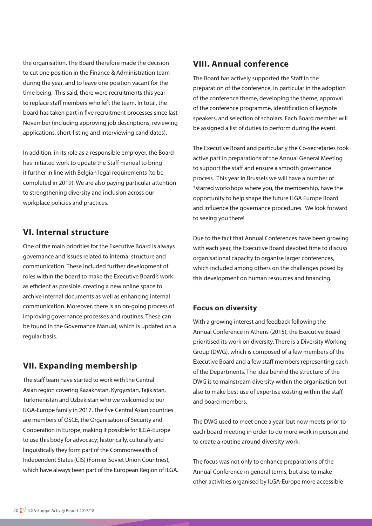the organisation. The Board therefore made the decision to cut one position in the Finance & Administration team during the year, and to leave one position vacant for the time being. This said, there were recruitments this year to replace staff members who left the team. In total, the board has taken part in five recruitment processes since last November (including approving job descriptions, reviewing applications, short-listing and interviewing candidates).

In addition, in its role as a responsible employer, the Board has initiated work to update the Staff manual to bring it further in line with Belgian legal requirements (to be completed in 2019). We are also paying particular attention to strengthening diversity and inclusion across our workplace policies and practices.

#### **VI. Internal structure**

One of the main priorities for the Executive Board is always governance and issues related to internal structure and communication. These included further development of roles within the board to make the Executive Board's work as efficient as possible, creating a new online space to archive internal documents as well as enhancing internal communication. Moreover, there is an on-going process of improving governance processes and routines. These can be found in the Governance Manual, which is updated on a regular basis.

#### **VII. Expanding membership**

The staff team have started to work with the Central Asian region covering Kazakhstan, Kyrgyzstan, Tajikistan, Turkmenistan and Uzbekistan who we welcomed to our ILGA-Europe family in 2017. The five Central Asian countries are members of OSCE, the Organisation of Security and Cooperation in Europe, making it possible for ILGA-Europe to use this body for advocacy; historically, culturally and linguistically they form part of the Commonwealth of Independent States (CIS) (Former Soviet Union Countries), which have always been part of the European Region of ILGA.

#### **VIII. Annual conference**

The Board has actively supported the Staff in the preparation of the conference, in particular in the adoption of the conference theme, developing the theme, approval of the conference programme, identification of keynote speakers, and selection of scholars. Each Board member will be assigned a list of duties to perform during the event.

The Executive Board and particularly the Co-secretaries took active part in preparations of the Annual General Meeting to support the staff and ensure a smooth governance process. This year in Brussels we will have a number of \*starred workshops where you, the membership, have the opportunity to help shape the future ILGA Europe Board and influence the governance procedures. We look forward to seeing you there!

Due to the fact that Annual Conferences have been growing with each year, the Executive Board devoted time to discuss organisational capacity to organise larger conferences, which included among others on the challenges posed by this development on human resources and financing.

#### **Focus on diversity**

With a growing interest and feedback following the Annual Conference in Athens (2015), the Executive Board prioritised its work on diversity. There is a Diversity Working Group (DWG), which is composed of a few members of the Executive Board and a few staff members representing each of the Departments. The idea behind the structure of the DWG is to mainstream diversity within the organisation but also to make best use of expertise existing within the staff and board members.

The DWG used to meet once a year, but now meets prior to each board meeting in order to do more work in person and to create a routine around diversity work.

The focus was not only to enhance preparations of the Annual Conference in general terms, but also to make other activities organised by ILGA-Europe more accessible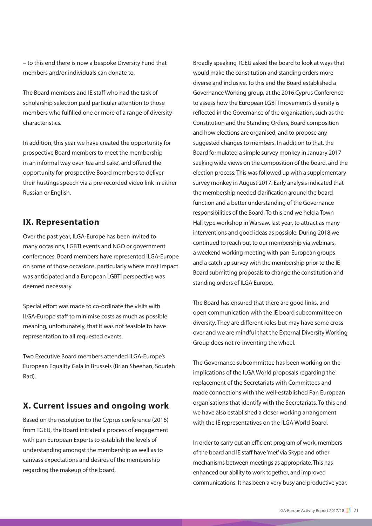– to this end there is now a bespoke Diversity Fund that members and/or individuals can donate to.

The Board members and IE staff who had the task of scholarship selection paid particular attention to those members who fulfilled one or more of a range of diversity characteristics.

In addition, this year we have created the opportunity for prospective Board members to meet the membership in an informal way over 'tea and cake', and offered the opportunity for prospective Board members to deliver their hustings speech via a pre-recorded video link in either Russian or English.

#### **IX. Representation**

Over the past year, ILGA-Europe has been invited to many occasions, LGBTI events and NGO or government conferences. Board members have represented ILGA-Europe on some of those occasions, particularly where most impact was anticipated and a European LGBTI perspective was deemed necessary.

Special effort was made to co-ordinate the visits with ILGA-Europe staff to minimise costs as much as possible meaning, unfortunately, that it was not feasible to have representation to all requested events.

Two Executive Board members attended ILGA-Europe's European Equality Gala in Brussels (Brian Sheehan, Soudeh Rad).

#### **X. Current issues and ongoing work**

Based on the resolution to the Cyprus conference (2016) from TGEU, the Board initiated a process of engagement with pan European Experts to establish the levels of understanding amongst the membership as well as to canvass expectations and desires of the membership regarding the makeup of the board.

Broadly speaking TGEU asked the board to look at ways that would make the constitution and standing orders more diverse and inclusive. To this end the Board established a Governance Working group, at the 2016 Cyprus Conference to assess how the European LGBTI movement's diversity is reflected in the Governance of the organisation, such as the Constitution and the Standing Orders, Board composition and how elections are organised, and to propose any suggested changes to members. In addition to that, the Board formulated a simple survey monkey in January 2017 seeking wide views on the composition of the board, and the election process. This was followed up with a supplementary survey monkey in August 2017. Early analysis indicated that the membership needed clarification around the board function and a better understanding of the Governance responsibilities of the Board. To this end we held a Town Hall type workshop in Warsaw, last year, to attract as many interventions and good ideas as possible. During 2018 we continued to reach out to our membership via webinars, a weekend working meeting with pan-European groups and a catch up survey with the membership prior to the IE Board submitting proposals to change the constitution and standing orders of ILGA Europe.

The Board has ensured that there are good links, and open communication with the IE board subcommittee on diversity. They are different roles but may have some cross over and we are mindful that the External Diversity Working Group does not re-inventing the wheel.

The Governance subcommittee has been working on the implications of the ILGA World proposals regarding the replacement of the Secretariats with Committees and made connections with the well-established Pan European organisations that identify with the Secretariats. To this end we have also established a closer working arrangement with the IE representatives on the ILGA World Board.

In order to carry out an efficient program of work, members of the board and IE staff have 'met' via Skype and other mechanisms between meetings as appropriate. This has enhanced our ability to work together, and improved communications. It has been a very busy and productive year.